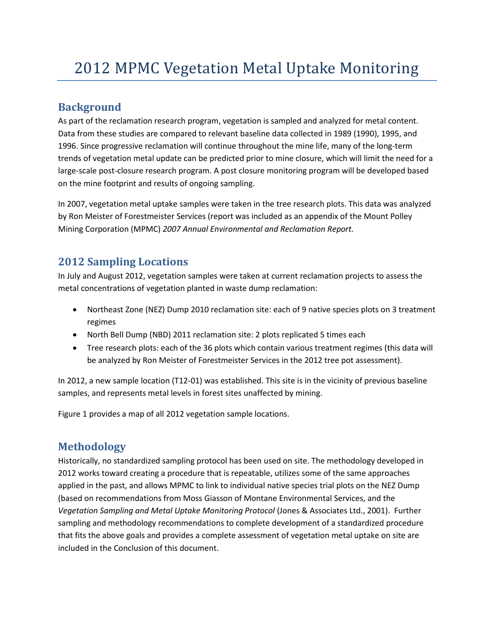# **Background**

As part of the reclamation research program, vegetation is sampled and analyzed for metal content. Data from these studies are compared to relevant baseline data collected in 1989 (1990), 1995, and 1996. Since progressive reclamation will continue throughout the mine life, many of the long-term trends of vegetation metal update can be predicted prior to mine closure, which will limit the need for a large-scale post-closure research program. A post closure monitoring program will be developed based on the mine footprint and results of ongoing sampling.

In 2007, vegetation metal uptake samples were taken in the tree research plots. This data was analyzed by Ron Meister of Forestmeister Services (report was included as an appendix of the Mount Polley Mining Corporation (MPMC) *2007 Annual Environmental and Reclamation Report.* 

# **2012 Sampling Locations**

In July and August 2012, vegetation samples were taken at current reclamation projects to assess the metal concentrations of vegetation planted in waste dump reclamation:

- Northeast Zone (NEZ) Dump 2010 reclamation site: each of 9 native species plots on 3 treatment regimes
- North Bell Dump (NBD) 2011 reclamation site: 2 plots replicated 5 times each
- Tree research plots: each of the 36 plots which contain various treatment regimes (this data will be analyzed by Ron Meister of Forestmeister Services in the 2012 tree pot assessment).

In 2012, a new sample location (T12-01) was established. This site is in the vicinity of previous baseline samples, and represents metal levels in forest sites unaffected by mining.

Figure 1 provides a map of all 2012 vegetation sample locations.

# **Methodology**

Historically, no standardized sampling protocol has been used on site. The methodology developed in 2012 works toward creating a procedure that is repeatable, utilizes some of the same approaches applied in the past, and allows MPMC to link to individual native species trial plots on the NEZ Dump (based on recommendations from Moss Giasson of Montane Environmental Services, and the *Vegetation Sampling and Metal Uptake Monitoring Protocol* (Jones & Associates Ltd., 2001). Further sampling and methodology recommendations to complete development of a standardized procedure that fits the above goals and provides a complete assessment of vegetation metal uptake on site are included in the Conclusion of this document.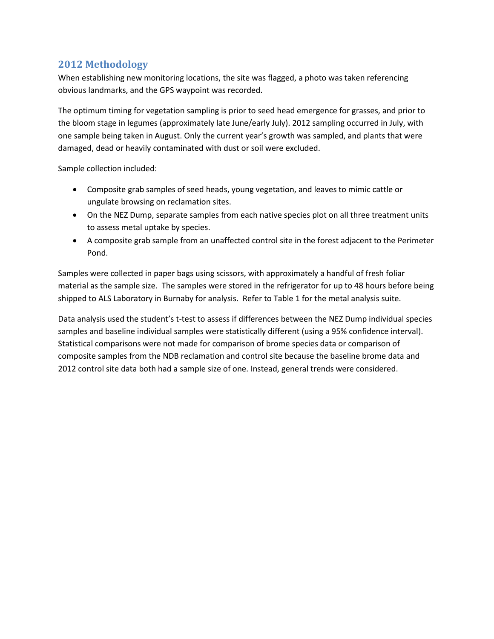## **2012 Methodology**

When establishing new monitoring locations, the site was flagged, a photo was taken referencing obvious landmarks, and the GPS waypoint was recorded.

The optimum timing for vegetation sampling is prior to seed head emergence for grasses, and prior to the bloom stage in legumes (approximately late June/early July). 2012 sampling occurred in July, with one sample being taken in August. Only the current year's growth was sampled, and plants that were damaged, dead or heavily contaminated with dust or soil were excluded.

Sample collection included:

- Composite grab samples of seed heads, young vegetation, and leaves to mimic cattle or ungulate browsing on reclamation sites.
- On the NEZ Dump, separate samples from each native species plot on all three treatment units to assess metal uptake by species.
- A composite grab sample from an unaffected control site in the forest adjacent to the Perimeter Pond.

Samples were collected in paper bags using scissors, with approximately a handful of fresh foliar material as the sample size. The samples were stored in the refrigerator for up to 48 hours before being shipped to ALS Laboratory in Burnaby for analysis. Refer to Table 1 for the metal analysis suite.

Data analysis used the student's t-test to assess if differences between the NEZ Dump individual species samples and baseline individual samples were statistically different (using a 95% confidence interval). Statistical comparisons were not made for comparison of brome species data or comparison of composite samples from the NDB reclamation and control site because the baseline brome data and 2012 control site data both had a sample size of one. Instead, general trends were considered.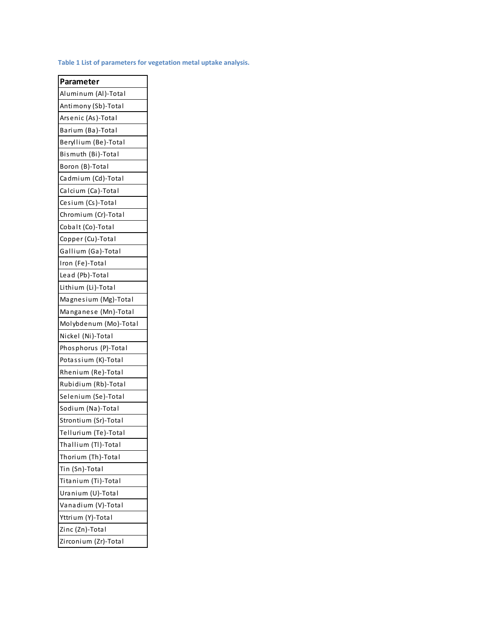**Table 1 List of parameters for vegetation metal uptake analysis.** 

| Parameter             |  |  |  |  |  |
|-----------------------|--|--|--|--|--|
| Aluminum (Al)-Total   |  |  |  |  |  |
| Antimony (Sb)-Total   |  |  |  |  |  |
| Arsenic (As)-Total    |  |  |  |  |  |
| Barium (Ba)-Total     |  |  |  |  |  |
| Beryllium (Be)-Total  |  |  |  |  |  |
| Bismuth (Bi)-Total    |  |  |  |  |  |
| Boron (B)-Total       |  |  |  |  |  |
| Cadmium (Cd)-Total    |  |  |  |  |  |
| Calcium (Ca)-Total    |  |  |  |  |  |
| Cesium (Cs)-Total     |  |  |  |  |  |
| Chromium (Cr)-Total   |  |  |  |  |  |
| Cobalt (Co)-Total     |  |  |  |  |  |
| Copper (Cu)-Total     |  |  |  |  |  |
| Gallium (Ga)-Total    |  |  |  |  |  |
| Iron (Fe)-Total       |  |  |  |  |  |
| Lead (Pb)-Total       |  |  |  |  |  |
| Lithium (Li)-Total    |  |  |  |  |  |
| Magnesium (Mg)-Total  |  |  |  |  |  |
| Manganese (Mn)-Total  |  |  |  |  |  |
| Molybdenum (Mo)-Total |  |  |  |  |  |
| Nickel (Ni)-Total     |  |  |  |  |  |
| Phosphorus (P)-Total  |  |  |  |  |  |
| Potassium (K)-Total   |  |  |  |  |  |
| Rhenium (Re)-Total    |  |  |  |  |  |
| Rubidium (Rb)-Total   |  |  |  |  |  |
| Selenium (Se)-Total   |  |  |  |  |  |
| Sodium (Na)-Total     |  |  |  |  |  |
| Strontium (Sr)-Total  |  |  |  |  |  |
| Tellurium (Te)-Total  |  |  |  |  |  |
| Thallium (Tl)-Total   |  |  |  |  |  |
| Thorium (Th)-Total    |  |  |  |  |  |
| Tin (Sn)-Total        |  |  |  |  |  |
| Titanium (Ti)-Total   |  |  |  |  |  |
| Uranium (U)-Total     |  |  |  |  |  |
| Vanadium (V)-Total    |  |  |  |  |  |
| Yttrium (Y)-Total     |  |  |  |  |  |
| Zinc (Zn)-Total       |  |  |  |  |  |
| Zirconium (Zr)-Total  |  |  |  |  |  |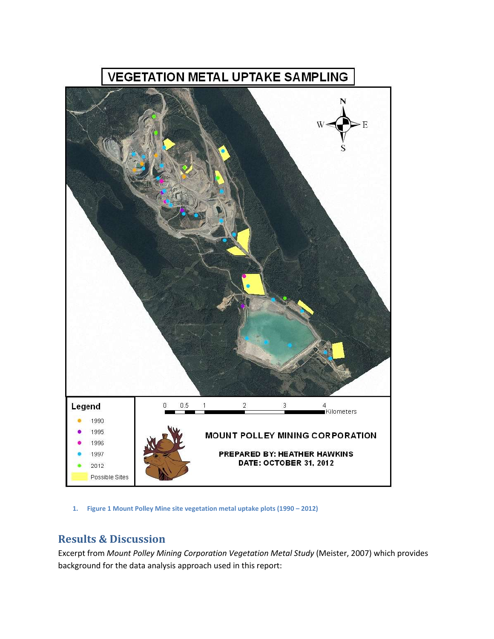

**1. Figure 1 Mount Polley Mine site vegetation metal uptake plots (1990 – 2012)**

## **Results & Discussion**

Excerpt from *Mount Polley Mining Corporation Vegetation Metal Study* (Meister, 2007) which provides background for the data analysis approach used in this report: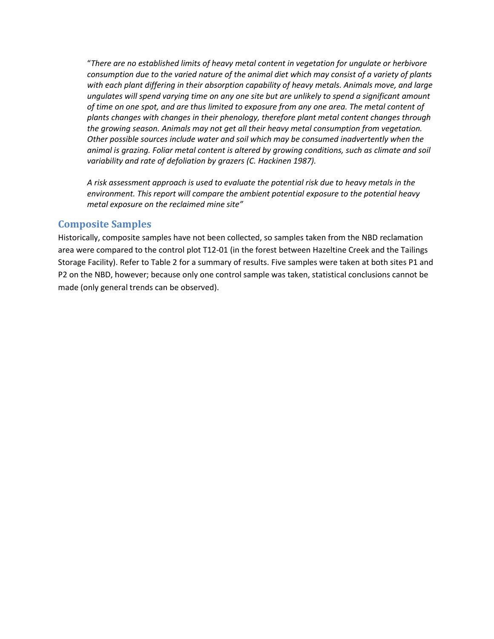"*There are no established limits of heavy metal content in vegetation for ungulate or herbivore consumption due to the varied nature of the animal diet which may consist of a variety of plants with each plant differing in their absorption capability of heavy metals. Animals move, and large ungulates will spend varying time on any one site but are unlikely to spend a significant amount of time on one spot, and are thus limited to exposure from any one area. The metal content of plants changes with changes in their phenology, therefore plant metal content changes through the growing season. Animals may not get all their heavy metal consumption from vegetation. Other possible sources include water and soil which may be consumed inadvertently when the animal is grazing. Foliar metal content is altered by growing conditions, such as climate and soil variability and rate of defoliation by grazers (C. Hackinen 1987).* 

*A risk assessment approach is used to evaluate the potential risk due to heavy metals in the environment. This report will compare the ambient potential exposure to the potential heavy metal exposure on the reclaimed mine site"*

#### **Composite Samples**

Historically, composite samples have not been collected, so samples taken from the NBD reclamation area were compared to the control plot T12-01 (in the forest between Hazeltine Creek and the Tailings Storage Facility). Refer to Table 2 for a summary of results. Five samples were taken at both sites P1 and P2 on the NBD, however; because only one control sample was taken, statistical conclusions cannot be made (only general trends can be observed).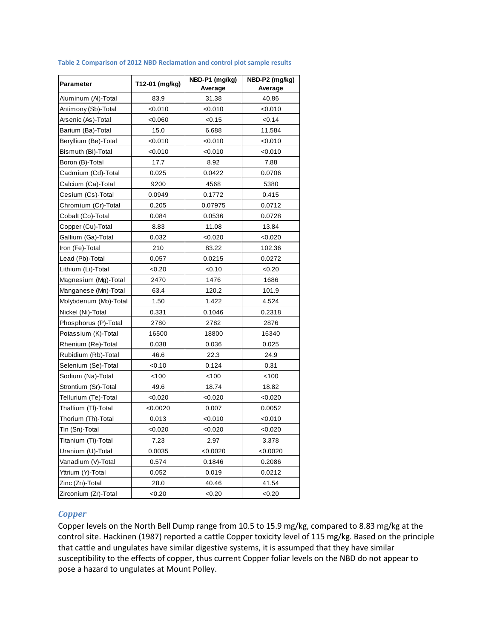| Parameter             | T12-01 (mg/kg) | NBD-P1 (mg/kg) | NBD-P2 (mg/kg) |  |
|-----------------------|----------------|----------------|----------------|--|
|                       |                | Average        | Average        |  |
| Aluminum (AI)-Total   | 83.9           | 31.38          | 40.86          |  |
| Antimony (Sb)-Total   | < 0.010        | <0.010         | <0.010         |  |
| Arsenic (As)-Total    | < 0.060        | < 0.15         | <0.14          |  |
| Barium (Ba)-Total     | 15.0           | 6.688          | 11.584         |  |
| Beryllium (Be)-Total  | < 0.010        | < 0.010        | <0.010         |  |
| Bismuth (Bi)-Total    | 0.010          | <0.010         | <0.010         |  |
| Boron (B)-Total       | 17.7           | 8.92           | 7.88           |  |
| Cadmium (Cd)-Total    | 0.025          | 0.0422         | 0.0706         |  |
| Calcium (Ca)-Total    | 9200           | 4568           | 5380           |  |
| Cesium (Cs)-Total     | 0.0949         | 0.1772         | 0.415          |  |
| Chromium (Cr)-Total   | 0.205          | 0.07975        | 0.0712         |  |
| Cobalt (Co)-Total     | 0.084          | 0.0536         | 0.0728         |  |
| Copper (Cu)-Total     | 8.83           | 11.08          | 13.84          |  |
| Gallium (Ga)-Total    | 0.032          | <0.020         | < 0.020        |  |
| Iron (Fe)-Total       | 210            | 83.22          | 102.36         |  |
| Lead (Pb)-Total       | 0.057          | 0.0215         | 0.0272         |  |
| Lithium (Li)-Total    | <0.20          | 0.10           | <0.20          |  |
| Magnesium (Mg)-Total  | 2470           | 1476           | 1686           |  |
| Manganese (Mn)-Total  | 63.4           | 120.2          | 101.9          |  |
| Molybdenum (Mo)-Total | 1.50           | 1.422          | 4.524          |  |
| Nickel (Ni)-Total     | 0.331          | 0.1046         | 0.2318         |  |
| Phosphorus (P)-Total  | 2780           | 2782           | 2876           |  |
| Potassium (K)-Total   | 16500          | 18800          | 16340          |  |
| Rhenium (Re)-Total    | 0.038          | 0.036          | 0.025          |  |
| Rubidium (Rb)-Total   | 46.6           | 22.3           | 24.9           |  |
| Selenium (Se)-Total   | <0.10          | 0.124          | 0.31           |  |
| Sodium (Na)-Total     | 100            | 100            | 100            |  |
| Strontium (Sr)-Total  | 49.6           | 18.74          | 18.82          |  |
| Tellurium (Te)-Total  | < 0.020        | <0.020         | < 0.020        |  |
| Thallium (TI)-Total   | < 0.0020       | 0.007          | 0.0052         |  |
| Thorium (Th)-Total    | 0.013          | <0.010         | < 0.010        |  |
| Tin (Sn)-Total        | < 0.020        | < 0.020        | < 0.020        |  |
| Titanium (Ti)-Total   | 7.23           | 2.97           | 3.378          |  |
| Uranium (U)-Total     | 0.0035         | < 0.0020       | < 0.0020       |  |
| Vanadium (V)-Total    | 0.574          | 0.1846         | 0.2086         |  |
| Yttrium (Y)-Total     | 0.052          | 0.019          | 0.0212         |  |
| Zinc (Zn)-Total       | 28.0           | 40.46          | 41.54          |  |
| Zirconium (Zr)-Total  | <0.20          | <0.20          | < 0.20         |  |

#### **Table 2 Comparison of 2012 NBD Reclamation and control plot sample results**

#### *Copper*

Copper levels on the North Bell Dump range from 10.5 to 15.9 mg/kg, compared to 8.83 mg/kg at the control site. Hackinen (1987) reported a cattle Copper toxicity level of 115 mg/kg. Based on the principle that cattle and ungulates have similar digestive systems, it is assumped that they have similar susceptibility to the effects of copper, thus current Copper foliar levels on the NBD do not appear to pose a hazard to ungulates at Mount Polley.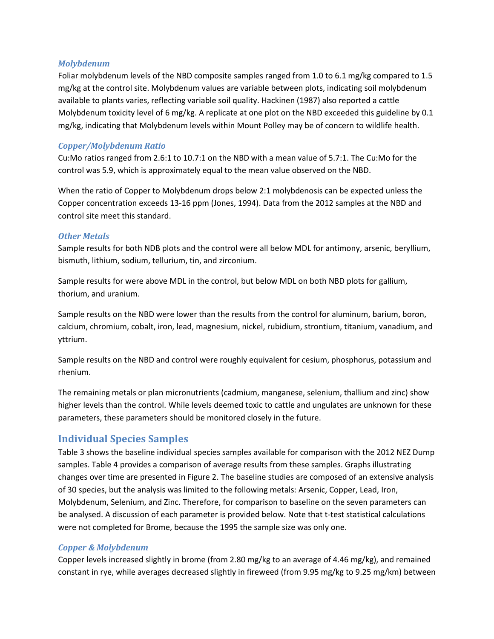#### *Molybdenum*

Foliar molybdenum levels of the NBD composite samples ranged from 1.0 to 6.1 mg/kg compared to 1.5 mg/kg at the control site. Molybdenum values are variable between plots, indicating soil molybdenum available to plants varies, reflecting variable soil quality. Hackinen (1987) also reported a cattle Molybdenum toxicity level of 6 mg/kg. A replicate at one plot on the NBD exceeded this guideline by 0.1 mg/kg, indicating that Molybdenum levels within Mount Polley may be of concern to wildlife health.

#### *Copper/Molybdenum Ratio*

Cu:Mo ratios ranged from 2.6:1 to 10.7:1 on the NBD with a mean value of 5.7:1. The Cu:Mo for the control was 5.9, which is approximately equal to the mean value observed on the NBD.

When the ratio of Copper to Molybdenum drops below 2:1 molybdenosis can be expected unless the Copper concentration exceeds 13-16 ppm (Jones, 1994). Data from the 2012 samples at the NBD and control site meet this standard.

#### *Other Metals*

Sample results for both NDB plots and the control were all below MDL for antimony, arsenic, beryllium, bismuth, lithium, sodium, tellurium, tin, and zirconium.

Sample results for were above MDL in the control, but below MDL on both NBD plots for gallium, thorium, and uranium.

Sample results on the NBD were lower than the results from the control for aluminum, barium, boron, calcium, chromium, cobalt, iron, lead, magnesium, nickel, rubidium, strontium, titanium, vanadium, and yttrium.

Sample results on the NBD and control were roughly equivalent for cesium, phosphorus, potassium and rhenium.

The remaining metals or plan micronutrients (cadmium, manganese, selenium, thallium and zinc) show higher levels than the control. While levels deemed toxic to cattle and ungulates are unknown for these parameters, these parameters should be monitored closely in the future.

### **Individual Species Samples**

Table 3 shows the baseline individual species samples available for comparison with the 2012 NEZ Dump samples. Table 4 provides a comparison of average results from these samples. Graphs illustrating changes over time are presented in Figure 2. The baseline studies are composed of an extensive analysis of 30 species, but the analysis was limited to the following metals: Arsenic, Copper, Lead, Iron, Molybdenum, Selenium, and Zinc. Therefore, for comparison to baseline on the seven parameters can be analysed. A discussion of each parameter is provided below. Note that t-test statistical calculations were not completed for Brome, because the 1995 the sample size was only one.

#### *Copper & Molybdenum*

Copper levels increased slightly in brome (from 2.80 mg/kg to an average of 4.46 mg/kg), and remained constant in rye, while averages decreased slightly in fireweed (from 9.95 mg/kg to 9.25 mg/km) between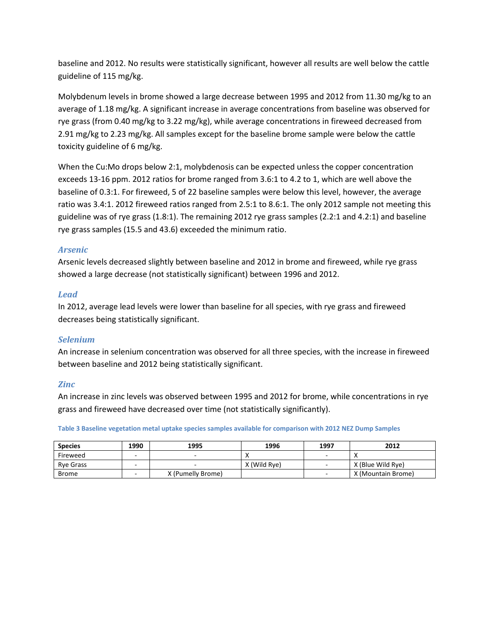baseline and 2012. No results were statistically significant, however all results are well below the cattle guideline of 115 mg/kg.

Molybdenum levels in brome showed a large decrease between 1995 and 2012 from 11.30 mg/kg to an average of 1.18 mg/kg. A significant increase in average concentrations from baseline was observed for rye grass (from 0.40 mg/kg to 3.22 mg/kg), while average concentrations in fireweed decreased from 2.91 mg/kg to 2.23 mg/kg. All samples except for the baseline brome sample were below the cattle toxicity guideline of 6 mg/kg.

When the Cu:Mo drops below 2:1, molybdenosis can be expected unless the copper concentration exceeds 13-16 ppm. 2012 ratios for brome ranged from 3.6:1 to 4.2 to 1, which are well above the baseline of 0.3:1. For fireweed, 5 of 22 baseline samples were below this level, however, the average ratio was 3.4:1. 2012 fireweed ratios ranged from 2.5:1 to 8.6:1. The only 2012 sample not meeting this guideline was of rye grass (1.8:1). The remaining 2012 rye grass samples (2.2:1 and 4.2:1) and baseline rye grass samples (15.5 and 43.6) exceeded the minimum ratio.

#### *Arsenic*

Arsenic levels decreased slightly between baseline and 2012 in brome and fireweed, while rye grass showed a large decrease (not statistically significant) between 1996 and 2012.

#### *Lead*

In 2012, average lead levels were lower than baseline for all species, with rye grass and fireweed decreases being statistically significant.

#### *Selenium*

An increase in selenium concentration was observed for all three species, with the increase in fireweed between baseline and 2012 being statistically significant.

#### *Zinc*

An increase in zinc levels was observed between 1995 and 2012 for brome, while concentrations in rye grass and fireweed have decreased over time (not statistically significantly).

**Table 3 Baseline vegetation metal uptake species samples available for comparison with 2012 NEZ Dump Samples**

| <b>Species</b>   | 1990 | 1996<br>1995<br>1997 |              |                          | 2012               |  |
|------------------|------|----------------------|--------------|--------------------------|--------------------|--|
| Fireweed         | -    |                      |              | $\overline{\phantom{a}}$ |                    |  |
| <b>Rve Grass</b> | -    |                      | X (Wild Rye) | $\overline{\phantom{a}}$ | X (Blue Wild Rve)  |  |
| Brome            | -    | X (Pumelly Brome)    |              | $\overline{\phantom{a}}$ | X (Mountain Brome) |  |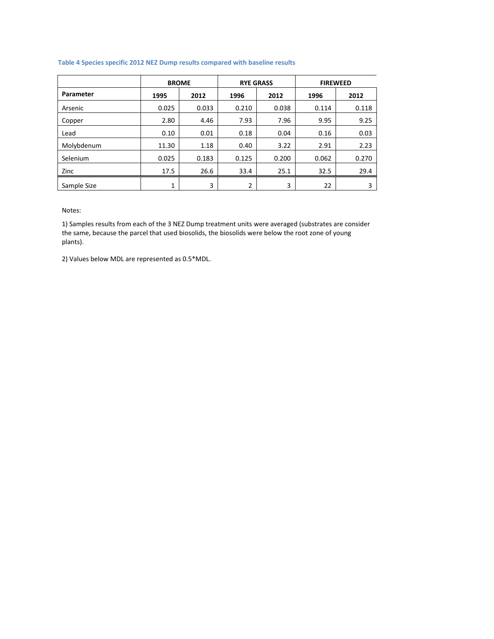#### **Table 4 Species specific 2012 NEZ Dump results compared with baseline results**

|             | <b>BROME</b> |       | <b>RYE GRASS</b> |       | <b>FIREWEED</b> |       |
|-------------|--------------|-------|------------------|-------|-----------------|-------|
| Parameter   | 1995         | 2012  | 1996             | 2012  | 1996            | 2012  |
| Arsenic     | 0.025        | 0.033 | 0.210            | 0.038 | 0.114           | 0.118 |
| Copper      | 2.80         | 4.46  | 7.93             | 7.96  | 9.95            | 9.25  |
| Lead        | 0.10         | 0.01  | 0.18             | 0.04  | 0.16            | 0.03  |
| Molybdenum  | 11.30        | 1.18  | 0.40             | 3.22  | 2.91            | 2.23  |
| Selenium    | 0.025        | 0.183 | 0.125            | 0.200 | 0.062           | 0.270 |
| Zinc        | 17.5         | 26.6  | 33.4             | 25.1  | 32.5            | 29.4  |
| Sample Size | 1            | 3     | 2                | 3     | 22              | 3     |

Notes:

1) Samples results from each of the 3 NEZ Dump treatment units were averaged (substrates are consider the same, because the parcel that used biosolids, the biosolids were below the root zone of young plants).

2) Values below MDL are represented as 0.5\*MDL.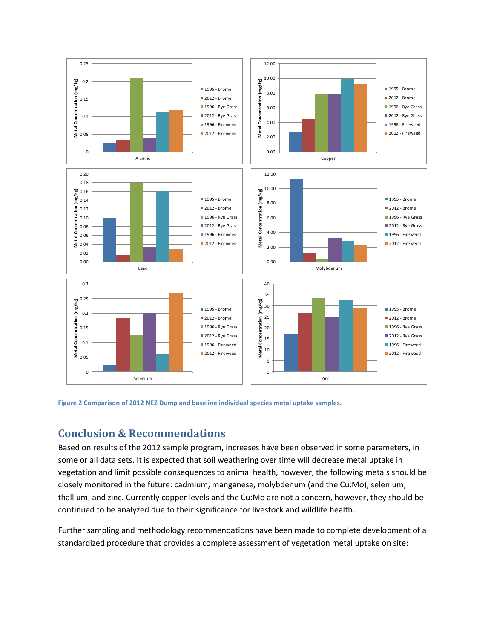



### **Conclusion & Recommendations**

Based on results of the 2012 sample program, increases have been observed in some parameters, in some or all data sets. It is expected that soil weathering over time will decrease metal uptake in vegetation and limit possible consequences to animal health, however, the following metals should be closely monitored in the future: cadmium, manganese, molybdenum (and the Cu:Mo), selenium, thallium, and zinc. Currently copper levels and the Cu:Mo are not a concern, however, they should be continued to be analyzed due to their significance for livestock and wildlife health.

Further sampling and methodology recommendations have been made to complete development of a standardized procedure that provides a complete assessment of vegetation metal uptake on site: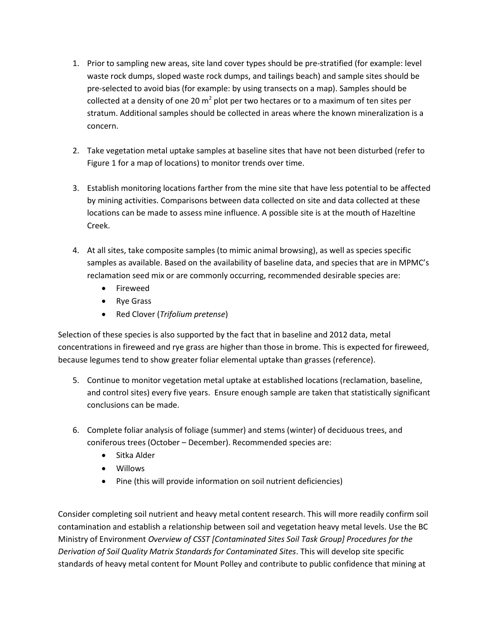- 1. Prior to sampling new areas, site land cover types should be pre-stratified (for example: level waste rock dumps, sloped waste rock dumps, and tailings beach) and sample sites should be pre-selected to avoid bias (for example: by using transects on a map). Samples should be collected at a density of one 20  $m^2$  plot per two hectares or to a maximum of ten sites per stratum. Additional samples should be collected in areas where the known mineralization is a concern.
- 2. Take vegetation metal uptake samples at baseline sites that have not been disturbed (refer to Figure 1 for a map of locations) to monitor trends over time.
- 3. Establish monitoring locations farther from the mine site that have less potential to be affected by mining activities. Comparisons between data collected on site and data collected at these locations can be made to assess mine influence. A possible site is at the mouth of Hazeltine Creek.
- 4. At all sites, take composite samples (to mimic animal browsing), as well as species specific samples as available. Based on the availability of baseline data, and species that are in MPMC's reclamation seed mix or are commonly occurring, recommended desirable species are:
	- Fireweed
	- Rye Grass
	- Red Clover (*Trifolium pretense*)

Selection of these species is also supported by the fact that in baseline and 2012 data, metal concentrations in fireweed and rye grass are higher than those in brome. This is expected for fireweed, because legumes tend to show greater foliar elemental uptake than grasses (reference).

- 5. Continue to monitor vegetation metal uptake at established locations (reclamation, baseline, and control sites) every five years. Ensure enough sample are taken that statistically significant conclusions can be made.
- 6. Complete foliar analysis of foliage (summer) and stems (winter) of deciduous trees, and coniferous trees (October – December). Recommended species are:
	- Sitka Alder
	- Willows
	- Pine (this will provide information on soil nutrient deficiencies)

Consider completing soil nutrient and heavy metal content research. This will more readily confirm soil contamination and establish a relationship between soil and vegetation heavy metal levels. Use the BC Ministry of Environment *Overview of CSST [Contaminated Sites Soil Task Group] Procedures for the Derivation of Soil Quality Matrix Standards for Contaminated Sites*. This will develop site specific standards of heavy metal content for Mount Polley and contribute to public confidence that mining at